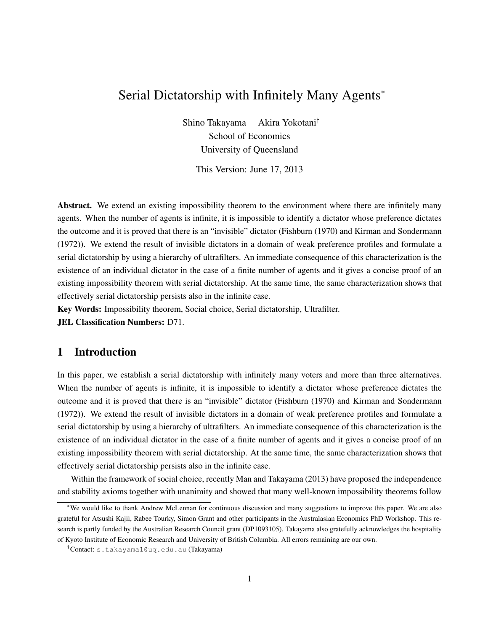# Serial Dictatorship with Infinitely Many Agents<sup>∗</sup>

Shino Takayama Akira Yokotani† School of Economics University of Queensland

This Version: June 17, 2013

Abstract. We extend an existing impossibility theorem to the environment where there are infinitely many agents. When the number of agents is infinite, it is impossible to identify a dictator whose preference dictates the outcome and it is proved that there is an "invisible" dictator (Fishburn (1970) and Kirman and Sondermann (1972)). We extend the result of invisible dictators in a domain of weak preference profiles and formulate a serial dictatorship by using a hierarchy of ultrafilters. An immediate consequence of this characterization is the existence of an individual dictator in the case of a finite number of agents and it gives a concise proof of an existing impossibility theorem with serial dictatorship. At the same time, the same characterization shows that effectively serial dictatorship persists also in the infinite case.

Key Words: Impossibility theorem, Social choice, Serial dictatorship, Ultrafilter.

JEL Classification Numbers: D71.

## 1 Introduction

In this paper, we establish a serial dictatorship with infinitely many voters and more than three alternatives. When the number of agents is infinite, it is impossible to identify a dictator whose preference dictates the outcome and it is proved that there is an "invisible" dictator (Fishburn (1970) and Kirman and Sondermann (1972)). We extend the result of invisible dictators in a domain of weak preference profiles and formulate a serial dictatorship by using a hierarchy of ultrafilters. An immediate consequence of this characterization is the existence of an individual dictator in the case of a finite number of agents and it gives a concise proof of an existing impossibility theorem with serial dictatorship. At the same time, the same characterization shows that effectively serial dictatorship persists also in the infinite case.

Within the framework of social choice, recently Man and Takayama (2013) have proposed the independence and stability axioms together with unanimity and showed that many well-known impossibility theorems follow

<sup>∗</sup>We would like to thank Andrew McLennan for continuous discussion and many suggestions to improve this paper. We are also grateful for Atsushi Kajii, Rabee Tourky, Simon Grant and other participants in the Australasian Economics PhD Workshop. This research is partly funded by the Australian Research Council grant (DP1093105). Takayama also gratefully acknowledges the hospitality of Kyoto Institute of Economic Research and University of British Columbia. All errors remaining are our own.

<sup>†</sup>Contact: s.takayama1@uq.edu.au (Takayama)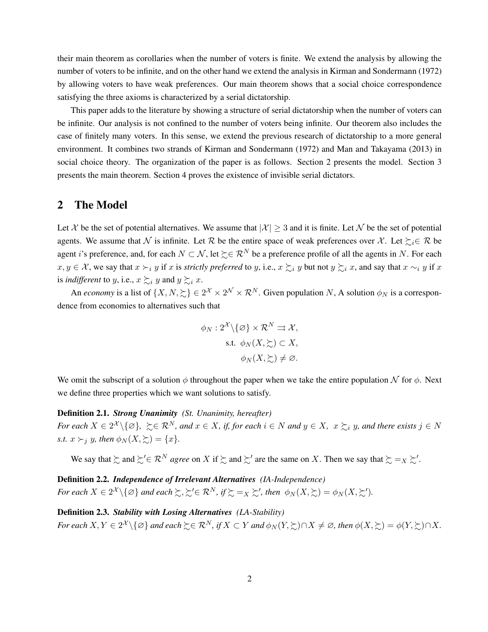their main theorem as corollaries when the number of voters is finite. We extend the analysis by allowing the number of voters to be infinite, and on the other hand we extend the analysis in Kirman and Sondermann (1972) by allowing voters to have weak preferences. Our main theorem shows that a social choice correspondence satisfying the three axioms is characterized by a serial dictatorship.

This paper adds to the literature by showing a structure of serial dictatorship when the number of voters can be infinite. Our analysis is not confined to the number of voters being infinite. Our theorem also includes the case of finitely many voters. In this sense, we extend the previous research of dictatorship to a more general environment. It combines two strands of Kirman and Sondermann (1972) and Man and Takayama (2013) in social choice theory. The organization of the paper is as follows. Section 2 presents the model. Section 3 presents the main theorem. Section 4 proves the existence of invisible serial dictators.

#### 2 The Model

Let X be the set of potential alternatives. We assume that  $|\mathcal{X}| \geq 3$  and it is finite. Let N be the set of potential agents. We assume that N is infinite. Let R be the entire space of weak preferences over X. Let  $\succsim_i \in \mathcal{R}$  be agent *i*'s preference, and, for each  $N \subset \mathcal{N}$ , let  $\succeq \in \mathcal{R}^N$  be a preference profile of all the agents in *N*. For each  $x, y \in \mathcal{X}$ , we say that  $x \succ_i y$  if x is strictly preferred to y, i.e.,  $x \succsim_i y$  but not  $y \succsim_i x$ , and say that  $x \sim_i y$  if x is *indifferent* to *y*, i.e.,  $x \succsim_{i} y$  and  $y \succsim_{i} x$ .

An *economy* is a list of  $\{X, N, \succcurlyeq\} \in 2^{\mathcal{X}} \times 2^{\mathcal{N}} \times \mathcal{R}^N$ . Given population *N*, A solution  $\phi_N$  is a correspondence from economies to alternatives such that

$$
\phi_N : 2^{\mathcal{X}} \setminus \{ \varnothing \} \times \mathcal{R}^N \rightrightarrows \mathcal{X},
$$
  
s.t. 
$$
\phi_N(X, \succsim) \subset X,
$$
  

$$
\phi_N(X, \succsim) \neq \varnothing.
$$

We omit the subscript of a solution  $\phi$  throughout the paper when we take the entire population N for  $\phi$ . Next we define three properties which we want solutions to satisfy.

Definition 2.1. *Strong Unanimity (St. Unanimity, hereafter)* For each  $X\in 2^{\mathcal{X}}\setminus\{\varnothing\},\ \succsim\in\mathcal{R}^N$ , and  $x\in X$ , if, for each  $i\in N$  and  $y\in X,\ x\succsim_i y$ , and there exists  $j\in N$ *s.t.*  $x \succ_i y$ *, then*  $\phi_N(X, \geq_i) = \{x\}.$ 

We say that  $\succsim$  and  $\succsim' \in \mathcal{R}^N$  *agree* on *X* if  $\succsim$  and  $\succsim'$  are the same on *X*. Then we say that  $\succsim =_X \succsim'$ .

Definition 2.2. *Independence of Irrelevant Alternatives (IA-Independence) For each*  $X \in 2^{\mathcal{X}} \setminus \{ \varnothing \}$  *and each*  $\succsim$ ,  $\succsim' \in \mathcal{R}^N$ , if  $\succsim =_X \succsim'$ , then  $\phi_N(X, \succsim) = \phi_N(X, \succsim')$ .

Definition 2.3. *Stability with Losing Alternatives (LA-Stability)* For each  $X, Y \in 2^{\mathcal{X}} \setminus \{\varnothing\}$  and each  $\succsim \in \mathcal{R}^N$ , if  $X \subset Y$  and  $\phi_N(Y, \succsim) \cap X \neq \varnothing$ , then  $\phi(X, \succsim) = \phi(Y, \succsim) \cap X$ .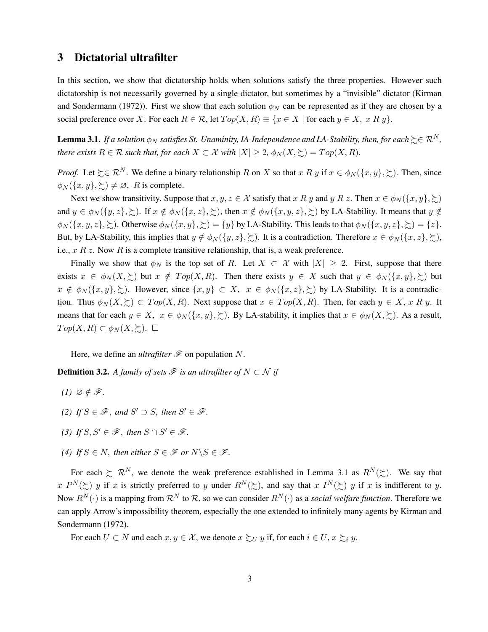## 3 Dictatorial ultrafilter

In this section, we show that dictatorship holds when solutions satisfy the three properties. However such dictatorship is not necessarily governed by a single dictator, but sometimes by a "invisible" dictator (Kirman and Sondermann (1972)). First we show that each solution  $\phi_N$  can be represented as if they are chosen by a social preference over *X*. For each  $R \in \mathcal{R}$ , let  $Top(X, R) \equiv \{x \in X \mid \text{for each } y \in X, x R y\}.$ 

**Lemma 3.1.** *If a solution*  $\phi_N$  *satisfies St. Unaminity, IA-Independence and LA-Stability, then, for each*  $\gtrsim \in \mathcal{R}^N$ , *there exists*  $R \in \mathcal{R}$  *such that, for each*  $X \subset \mathcal{X}$  *with*  $|X| \geq 2$ ,  $\phi_N(X, \geq) = Top(X, R)$ .

*Proof.* Let  $\succeq \in \mathbb{R}^N$ . We define a binary relationship *R* on *X* so that *x R y* if  $x \in \phi_N(\lbrace x, y \rbrace, \succsim)$ . Then, since  $\phi_N(\{x, y\}, \geq) \neq \emptyset$ , *R* is complete.

Next we show transitivity. Suppose that  $x, y, z \in \mathcal{X}$  satisfy that  $x R y$  and  $y R z$ . Then  $x \in \phi_N(\lbrace x, y \rbrace, \succsim)$ and  $y \in \phi_N(\{y, z\}, \geq)$ . If  $x \notin \phi_N(\{x, z\}, \geq)$ , then  $x \notin \phi_N(\{x, y, z\}, \geq)$  by LA-Stability. It means that  $y \notin \phi_N(\{x, z\}, \geq)$  $\phi_N(\{x, y, z\}, \geq)$ . Otherwise  $\phi_N(\{x, y\}, \geq) = \{y\}$  by LA-Stability. This leads to that  $\phi_N(\{x, y, z\}, \geq) = \{z\}.$ But, by LA-Stability, this implies that  $y \notin \phi_N(\{y, z\}, \geq)$ . It is a contradiction. Therefore  $x \in \phi_N(\{x, z\}, \geq)$ , i.e., *x R z*. Now *R* is a complete transitive relationship, that is, a weak preference.

Finally we show that  $\phi_N$  is the top set of *R*. Let  $X \subset \mathcal{X}$  with  $|X| \geq 2$ . First, suppose that there exists  $x \in \phi_N(X, \geq)$  but  $x \notin Top(X, R)$ . Then there exists  $y \in X$  such that  $y \in \phi_N(\{x, y\}, \geq)$  but  $x \notin \phi_N(\{x, y\}, \geq)$ . However, since  $\{x, y\} \subset X$ ,  $x \in \phi_N(\{x, z\}, \geq)$  by LA-Stability. It is a contradiction. Thus  $\phi_N(X, \geq) \subset Top(X, R)$ . Next suppose that  $x \in Top(X, R)$ . Then, for each  $y \in X$ , *x R y*. It means that for each  $y \in X$ ,  $x \in \phi_N(\{x, y\}, \geq)$ . By LA-stability, it implies that  $x \in \phi_N(X, \geq)$ . As a result,  $Top(X, R) \subset \phi_N(X, \Sigma)$ . □

Here, we define an *ultrafilter*  $\mathcal F$  on population N.

**Definition 3.2.** *A family of sets*  $\mathcal F$  *is an ultrafilter of*  $N \subset \mathcal N$  *if* 

- *(1)*  $\emptyset \notin \mathcal{F}$ *.*
- *(2) If*  $S \in \mathcal{F}$ *, and*  $S' \supset S$ *, then*  $S' \in \mathcal{F}$ *.*
- *(3) If*  $S, S' \in \mathcal{F}$ *, then*  $S \cap S' \in \mathcal{F}$ *.*
- *(4) If*  $S \in N$ *, then either*  $S \in \mathcal{F}$  *or*  $N \setminus S \in \mathcal{F}$ *.*

For each  $\gtrsim \mathcal{R}^N$ , we denote the weak preference established in Lemma 3.1 as  $R^N(\gtrsim)$ . We say that  $x P^N(\succsim)$  *y* if *x* is strictly preferred to *y* under  $R^N(\succsim)$ , and say that  $x I^N(\succsim)$  *y* if *x* is indifferent to *y*. Now  $R^N(\cdot)$  is a mapping from  $\mathcal{R}^N$  to  $\mathcal{R}$ , so we can consider  $R^N(\cdot)$  as a *social welfare function*. Therefore we can apply Arrow's impossibility theorem, especially the one extended to infinitely many agents by Kirman and Sondermann (1972).

For each  $U \subset N$  and each  $x, y \in \mathcal{X}$ , we denote  $x \succsim_{U} y$  if, for each  $i \in U$ ,  $x \succsim_{i} y$ .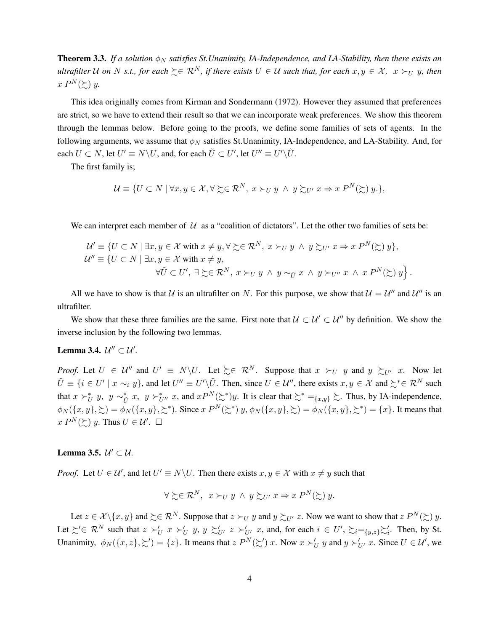**Theorem 3.3.** If a solution  $\phi_N$  satisfies St. Unanimity, IA-Independence, and LA-Stability, then there exists an *ultrafilter* U on N *s.t., for each*  $\succeq \in \mathbb{R}^N$ , if there exists  $U \in U$  such that, for each  $x, y \in X$ ,  $x \succ_U y$ , then  $x P^N(\succeq y)$ .

This idea originally comes from Kirman and Sondermann (1972). However they assumed that preferences are strict, so we have to extend their result so that we can incorporate weak preferences. We show this theorem through the lemmas below. Before going to the proofs, we define some families of sets of agents. In the following arguments, we assume that *φ<sup>N</sup>* satisfies St.Unanimity, IA-Independence, and LA-Stability. And, for each  $U \subset N$ , let  $U' \equiv N \backslash U$ , and, for each  $\tilde{U} \subset U'$ , let  $U'' \equiv U' \backslash \tilde{U}$ .

The first family is;

$$
\mathcal{U} \equiv \{ U \subset N \mid \forall x, y \in \mathcal{X}, \forall \succsim \in \mathcal{R}^N, x \succ_U y \land y \succsim_{U'} x \Rightarrow x P^N(\succsim y, \},\
$$

We can interpret each member of  $U$  as a "coalition of dictators". Let the other two families of sets be:

$$
\mathcal{U}' \equiv \{ U \subset N \mid \exists x, y \in \mathcal{X} \text{ with } x \neq y, \forall \succsim \in \mathcal{R}^N, \ x \succ_U y \land y \succsim_{U'} x \Rightarrow x P^N(\succsim y), \mathcal{U}'' \equiv \{ U \subset N \mid \exists x, y \in \mathcal{X} \text{ with } x \neq y, \forall \tilde{U} \subset U', \ \exists \succsim \in \mathcal{R}^N, \ x \succ_U y \land y \sim_{\tilde{U}} x \land y \succ_{U''} x \land x P^N(\succsim y) \}.
$$

All we have to show is that U is an ultrafilter on N. For this purpose, we show that  $U = U''$  and  $U''$  is an ultrafilter.

We show that these three families are the same. First note that  $U \subset U' \subset U''$  by definition. We show the inverse inclusion by the following two lemmas.

## Lemma 3.4.  $\mathcal{U}^{\prime\prime} \subset \mathcal{U}^{\prime}$ .

*Proof.* Let  $U \in \mathcal{U}''$  and  $U' \equiv N \setminus U$ . Let  $\succsim \in \mathcal{R}^N$ . Suppose that  $x \succ_U y$  and  $y \succsim_{U'} x$ . Now let  $\tilde{U} \equiv \{i \in U' \mid x \sim_i y\}$ , and let  $U'' \equiv U' \setminus \tilde{U}$ . Then, since  $U \in \mathcal{U}''$ , there exists  $x, y \in \mathcal{X}$  and  $\succsim^* \in \mathcal{R}^N$  such that  $x \succ^*_{U} y$ ,  $y \sim^*_{\tilde{U}} x$ ,  $y \succ^*_{U''} x$ , and  $x P^N(\succ^*)y$ . It is clear that  $\succ^* = \{x, y\} \succsim$ . Thus, by IA-independence,  $\phi_N(\{x,y\},\succsim) = \phi_N(\{x,y\},\succsim^*)$ . Since  $x P^N(\succsim^*) y$ ,  $\phi_N(\{x,y\},\succsim) = \phi_N(\{x,y\},\succsim^*) = \{x\}$ . It means that  $x P^N(\succsim y)$ . Thus  $U \in \mathcal{U}'$ .  $\square$ 

## Lemma 3.5.  $\mathcal{U}' \subset \mathcal{U}$ .

*Proof.* Let  $U \in \mathcal{U}'$ , and let  $U' \equiv N \setminus U$ . Then there exists  $x, y \in \mathcal{X}$  with  $x \neq y$  such that

$$
\forall \succsim \in \mathcal{R}^N, \ x \succ_U y \land y \succsim_{U'} x \Rightarrow x P^N(\succsim y).
$$

Let  $z \in \mathcal{X} \setminus \{x, y\}$  and  $\succsim \in \mathcal{R}^N$ . Suppose that  $z \succ_U y$  and  $y \succsim_{U'} z$ . Now we want to show that  $z P^N(\succsim y)$ . Let  $\sum \in \mathcal{R}^N$  such that  $z \succ_U' x \succ_U' y$ ,  $y \succ_{U'}' z \succ_{U'}' x$ , and, for each  $i \in U'$ ,  $\sum_{i=1}^{s} \sum_{y,z} \sum_i'$ . Then, by St. Unanimity,  $\phi_N(\{x, z\}, \succeq') = \{z\}$ . It means that  $z P^N(\succeq') x$ . Now  $x \succ_U' y$  and  $y \succ_{U'}' x$ . Since  $U \in \mathcal{U}'$ , we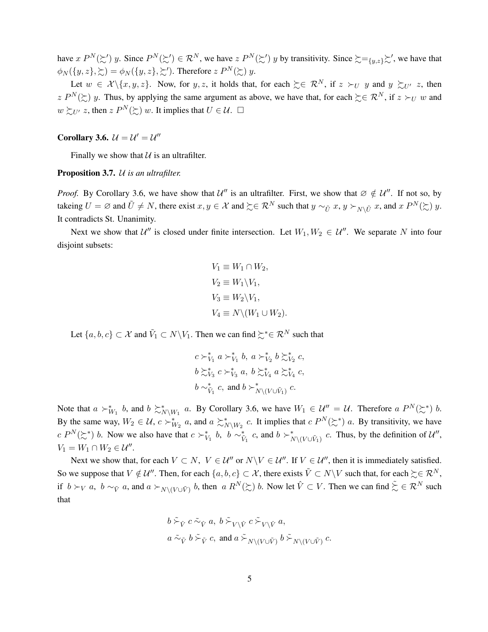have  $x P^N(\succsim') y$ . Since  $P^N(\succsim') \in \mathcal{R}^N$ , we have  $z P^N(\succsim') y$  by transitivity. Since  $\succsim =_{\{y,z\}} \succsim'$ , we have that  $\phi_N(\lbrace y, z \rbrace, \succsim) = \phi_N(\lbrace y, z \rbrace, \succsim')$ . Therefore  $z P^N(\succsim y)$ .

Let  $w \in \mathcal{X} \setminus \{x, y, z\}$ . Now, for *y, z*, it holds that, for each  $\succeq \in \mathcal{R}^N$ , if  $z \succ_U y$  and  $y \succ_{U'} z$ , then *z*  $P^N(\succcurlyeq)$  *y*. Thus, by applying the same argument as above, we have that, for each  $\succcurlyeq \in \mathbb{R}^N$ , if  $z \succ_U w$  and  $w \succsim_{U'} z$ , then  $z P^N(\succsim) w$ . It implies that  $U \in \mathcal{U}$ .  $\square$ 

## Corollary 3.6.  $\mathcal{U} = \mathcal{U}' = \mathcal{U}''$

Finally we show that  $U$  is an ultrafilter.

#### Proposition 3.7. U *is an ultrafilter.*

*Proof.* By Corollary 3.6, we have show that  $U''$  is an ultrafilter. First, we show that  $\emptyset \notin U''$ . If not so, by takeing  $U = \emptyset$  and  $\tilde{U} \neq N$ , there exist  $x, y \in \mathcal{X}$  and  $\succeq \mathcal{R}^N$  such that  $y \sim_{\tilde{U}} x$ ,  $y \succ_{N \setminus \tilde{U}} x$ , and  $x P^N(\succsim) y$ . It contradicts St. Unanimity.

Next we show that  $U''$  is closed under finite intersection. Let  $W_1, W_2 \in \mathcal{U}''$ . We separate N into four disjoint subsets:

$$
V_1 \equiv W_1 \cap W_2,
$$
  
\n
$$
V_2 \equiv W_1 \backslash V_1,
$$
  
\n
$$
V_3 \equiv W_2 \backslash V_1,
$$
  
\n
$$
V_4 \equiv N \backslash (W_1 \cup W_2).
$$

Let  $\{a, b, c\} \subset \mathcal{X}$  and  $\tilde{V}_1 \subset N \backslash V_1$ . Then we can find  $\succsim^* \in \mathcal{R}^N$  such that

$$
c \succ_{V_1}^* a \succ_{V_1}^* b, a \succ_{V_2}^* b \succ_{V_2}^* c,
$$
  

$$
b \succ_{V_3}^* c \succ_{V_3}^* a, b \succ_{V_4}^* a \succ_{V_4}^* c,
$$
  

$$
b \sim_{\tilde{V}_1}^* c, \text{ and } b \succ_{N \setminus (V \cup \tilde{V}_1)}^* c.
$$

Note that  $a \succ^*_{W_1} b$ , and  $b \succ^*_{N \setminus W_1} a$ . By Corollary 3.6, we have  $W_1 \in \mathcal{U}'' = \mathcal{U}$ . Therefore  $a P^N(\succ^*) b$ . By the same way,  $W_2 \in \mathcal{U}$ ,  $c \succ_{W_2}^* a$ , and  $a \succsim_{N \setminus W_2}^* c$ . It implies that  $c P^N(\succsim^*) a$ . By transitivity, we have  $c P^N(\succsim^*)$  *b*. Now we also have that  $c \succ^*_{V_1} b$ ,  $b \sim^*_{\tilde{V}_1} c$ , and  $b \succ^*_{N \setminus (V \cup \tilde{V}_1)} c$ . Thus, by the definition of  $\mathcal{U}'$ ,  $V_1 = W_1 \cap W_2 \in \mathcal{U}''$ .

Next we show that, for each  $V \subset N$ ,  $V \in \mathcal{U}''$  or  $N \setminus V \in \mathcal{U}''$ . If  $V \in \mathcal{U}''$ , then it is immediately satisfied. So we suppose that  $V \notin \mathcal{U}''$ . Then, for each  $\{a, b, c\} \subset \mathcal{X}$ , there exists  $\tilde{V} \subset N \setminus V$  such that, for each  $\succeq \in \mathcal{R}^N$ , if  $b \succ_V a$ ,  $b \sim_{\tilde{V}} a$ , and  $a \succ_{N \setminus (V \cup \tilde{V})} b$ , then  $a R^N(\succsim) b$ . Now let  $\hat{V} \subset V$ . Then we can find  $\tilde{\succsim} \in \mathcal{R}^N$  such that

$$
b \stackrel{\sim}{\sim}_{\hat{V}} c \stackrel{\sim}{\sim}_{\hat{V}} a, \quad b \stackrel{\sim}{\sim}_{V \setminus \hat{V}} c \stackrel{\sim}{\sim}_{V \setminus \hat{V}} a,
$$
\n
$$
a \stackrel{\sim}{\sim}_{\tilde{V}} b \stackrel{\sim}{\sim}_{\tilde{V}} c, \text{ and } a \stackrel{\sim}{\sim}_{N \setminus (V \cup \tilde{V})} b \stackrel{\sim}{\sim}_{N \setminus (V \cup \tilde{V})} c.
$$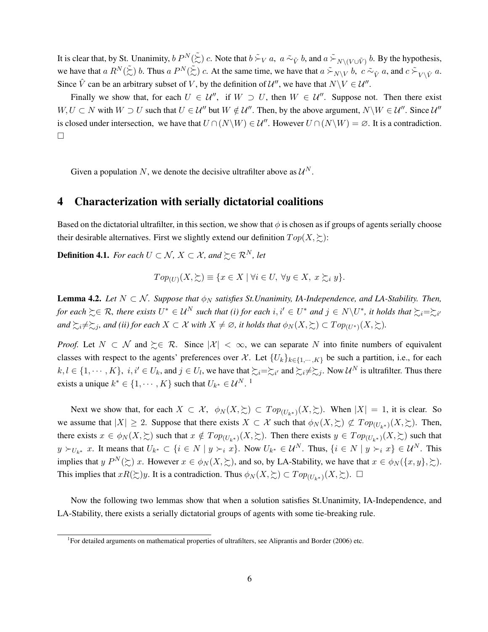It is clear that, by St. Unanimity,  $b P^N(\tilde{\Sigma}) c$ . Note that  $b \succeq_V a$ ,  $a \simeq_{\tilde{V}} b$ , and  $a \succeq_{N \setminus (V \cup \tilde{V})} b$ . By the hypothesis, we have that  $a R^N(\tilde{\xi})$  b. Thus  $a P^N(\tilde{\xi})$  c. At the same time, we have that  $a \tilde{\xi}_{N \setminus V}$  b,  $c \tilde{\xi}_{\hat{V}} a$ , and  $c \tilde{\xi}_{V \setminus \hat{V}} a$ . Since  $\hat{V}$  can be an arbitrary subset of *V*, by the definition of  $\mathcal{U}''$ , we have that  $N \setminus V \in \mathcal{U}''$ .

Finally we show that, for each  $U \in \mathcal{U}''$ , if  $W \supset U$ , then  $W \in \mathcal{U}''$ . Suppose not. Then there exist *W*, *U* ⊂ *N* with *W* ⊃ *U* such that  $U \in \mathcal{U}''$  but  $W \notin \mathcal{U}''$ . Then, by the above argument,  $N \setminus W \in \mathcal{U}''$ . Since  $\mathcal{U}''$ is closed under intersection, we have that  $U \cap (N\backslash W) \in \mathcal{U}''$ . However  $U \cap (N\backslash W) = \emptyset$ . It is a contradiction.  $\Box$ 

Given a population N, we denote the decisive ultrafilter above as  $\mathcal{U}^N$ .

### 4 Characterization with serially dictatorial coalitions

Based on the dictatorial ultrafilter, in this section, we show that  $\phi$  is chosen as if groups of agents serially choose their desirable alternatives. First we slightly extend our definition  $Top(X, \geq)$ :

**Definition 4.1.** *For each*  $U \subset \mathcal{N}$ ,  $X \subset \mathcal{X}$ , and  $\succeq \in \mathcal{R}^N$ , let

$$
Top_{(U)}(X,\succsim) \equiv \{x \in X \mid \forall i \in U, \ \forall y \in X, \ x \succsim_i y\}.
$$

**Lemma 4.2.** *Let*  $N \subset \mathcal{N}$ . Suppose that  $\phi_N$  satisfies St. Unanimity, IA-Independence, and LA-Stability. Then,  $f$ or each  $\succsim \in \mathcal{R}$ , there exists  $U^* \in \mathcal{U}^N$  such that (i) for each  $i, i' \in U^*$  and  $j \in N \setminus U^*$ , it holds that  $\succsim_i = \succsim_{i'}$  $\forall$  *and*  $\succsim$   $\geq$  *i* $\neq$   $\gg$   $\geq$  $\leq$  $\leq$  $\leq$  $\leq$  $\leq$  $\leq$  $\leq$  $\leq$  $\leq$  $\leq$  $\leq$  $\leq$  $\leq$  $\leq$  $\leq$  $\leq$  $\leq$  $\leq$  $\leq$  $\leq$  $\leq$  $\leq$  $\leq$  $\leq$  $\leq$  $\leq$  $\leq$  $\leq$  $\leq$  *\le* 

*Proof.* Let  $N \subset \mathcal{N}$  and  $\succeq \in \mathcal{R}$ . Since  $|\mathcal{X}| < \infty$ , we can separate  $N$  into finite numbers of equivalent classes with respect to the agents' preferences over X. Let  ${U_k}_{k \in \{1, \dots, K\}}$  be such a partition, i.e., for each  $k, l \in \{1, \dots, K\}$ ,  $i, i' \in U_k$ , and  $j \in U_l$ , we have that  $\succsim_i = \succsim_{i'}$  and  $\succsim_i \neq \succsim_j$ . Now  $\mathcal{U}^N$  is ultrafilter. Thus there exists a unique  $k^* \in \{1, \dots, K\}$  such that  $U_{k^*} \in \mathcal{U}^N$ .<sup>1</sup>

Next we show that, for each  $X \subset \mathcal{X}$ ,  $\phi_N(X, \geq) \subset Top_{(U_k^*)}(X, \geq)$ . When  $|X| = 1$ , it is clear. So we assume that  $|X| \ge 2$ . Suppose that there exists  $X \subset \mathcal{X}$  such that  $\phi_N(X, \ge) \not\subset Top_{(U_{k^*})}(X, \ge)$ . Then, there exists  $x \in \phi_N(X, \geq)$  such that  $x \notin Top_{(U_{k^*})}(X, \geq)$ . Then there exists  $y \in Top_{(U_{k^*})}(X, \geq)$  such that  $y \succ_{U_{k^*}} x$ . It means that  $U_{k^*} \subset \{i \in N \mid y \succ_i x\}$ . Now  $U_{k^*} \in \mathcal{U}^N$ . Thus,  $\{i \in N \mid y \succ_i x\} \in \mathcal{U}^N$ . This implies that *y*  $P^N(\succsim)$  *x*. However  $x \in \phi_N(X, \succsim)$ , and so, by LA-Stability, we have that  $x \in \phi_N(\lbrace x, y \rbrace, \succsim)$ . This implies that  $xR(\succsim y)$ . It is a contradiction. Thus  $\phi_N(X, \succsim) \subset Top_{(U_{k^*})}(X, \succsim)$ .  $\Box$ 

Now the following two lemmas show that when a solution satisfies St.Unanimity, IA-Independence, and LA-Stability, there exists a serially dictatorial groups of agents with some tie-breaking rule.

<sup>&</sup>lt;sup>1</sup>For detailed arguments on mathematical properties of ultrafilters, see Aliprantis and Border (2006) etc.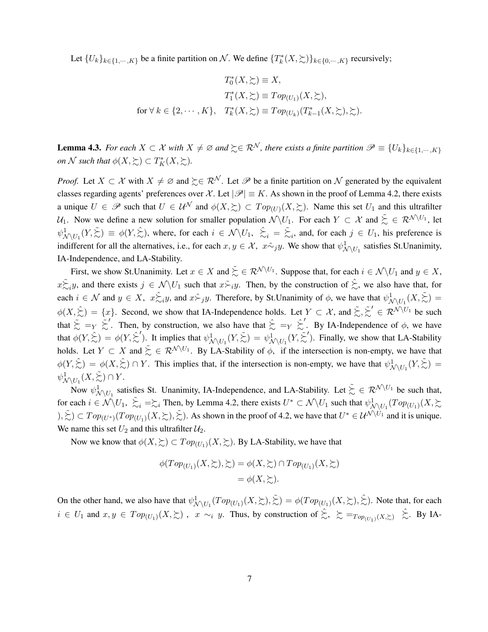Let  ${U_k}_{k \in \{1,\dots,K\}}$  be a finite partition on N. We define  ${T_k^*(X,\succcurlyeq)}_{k \in \{0,\dots,K\}}$  recursively;

$$
T_0^*(X, \geq) \equiv X,
$$
  
\n
$$
T_1^*(X, \geq) \equiv Top_{(U_1)}(X, \geq),
$$
  
\nfor  $\forall k \in \{2, \cdots, K\}, T_k^*(X, \geq) \equiv Top_{(U_k)}(T_{k-1}^*(X, \geq), \geq).$ 

**Lemma 4.3.** For each  $X \subset \mathcal{X}$  with  $X \neq \emptyset$  and  $\succeq \in \mathcal{R}^{\mathcal{N}}$ , there exists a finite partition  $\mathcal{P} \equiv \{U_k\}_{k \in \{1, \cdots, K\}}$ *on*  $\mathcal N$  *such that*  $\phi(X, \succsim) \subset T_K^*(X, \succsim).$ 

*Proof.* Let  $X \subset \mathcal{X}$  with  $X \neq \emptyset$  and  $\succeq \in \mathcal{R}^{\mathcal{N}}$ . Let  $\mathcal{P}$  be a finite partition on  $\mathcal{N}$  generated by the equivalent classes regarding agents' preferences over X. Let  $|\mathscr{P}| \equiv K$ . As shown in the proof of Lemma 4.2, there exists a unique  $U \in \mathscr{P}$  such that  $U \in \mathcal{U}^{\mathcal{N}}$  and  $\phi(X, \succsim) \subset Top_{(U)}(X, \succsim)$ . Name this set  $U_1$  and this ultrafilter  $U_1$ . Now we define a new solution for smaller population  $\mathcal{N} \setminus U_1$ . For each  $Y \subset \mathcal{X}$  and  $\tilde{L} \in \mathcal{R}^{\mathcal{N} \setminus U_1}$ , let  $\psi^1_{\mathcal{N} \setminus U_1}(Y, \tilde{\Sigma}) \equiv \phi(Y, \hat{\Sigma})$ , where, for each  $i \in \mathcal{N} \setminus U_1$ ,  $\hat{\Sigma}_i = \tilde{\Sigma}_i$ , and, for each  $j \in U_1$ , his preference is indifferent for all the alternatives, i.e., for each  $x, y \in \mathcal{X}$ ,  $x \hat{\sim}_j y$ . We show that  $\psi^1_{\mathcal{N} \setminus U_1}$  satisfies St.Unanimity, IA-Independence, and LA-Stability.

First, we show St.Unanimity. Let  $x \in X$  and  $\sum_{n=1}^{\infty} \in \mathcal{R}^{\mathcal{N} \setminus U_1}$ . Suppose that, for each  $i \in \mathcal{N} \setminus U_1$  and  $y \in X$ ,  $x \gtrsim_i y$ , and there exists  $j \in \mathcal{N} \setminus U_1$  such that  $x \gtrsim_i y$ . Then, by the construction of  $\hat{\lesssim}$ , we also have that, for each  $i \in \mathcal{N}$  and  $y \in X$ ,  $x \gtrsim_i y$ , and  $x \gtrsim_j y$ . Therefore, by St.Unanimity of  $\phi$ , we have that  $\psi^1_{\mathcal{N} \setminus U_1}(X, \gtrsim) =$  $\phi(X, \hat{\xi}) = \{x\}$ . Second, we show that IA-Independence holds. Let  $Y \subset \mathcal{X}$ , and  $\tilde{\xi}, \tilde{\xi}' \in \mathcal{R}^{\mathcal{N} \setminus U_1}$  be such that  $\tilde{\xi} = Y \tilde{\xi}'$ . Then, by construction, we also have that  $\hat{\xi} = Y \hat{\xi}'$ . By IA-Independence of  $\phi$ , we have that  $\phi(Y, \hat{\Sigma}) = \phi(Y, \hat{\Sigma}')$ . It implies that  $\psi^1_{\mathcal{N} \setminus U_1}(Y, \tilde{\Sigma}) = \psi^1_{\mathcal{N} \setminus U_1}(Y, \tilde{\Sigma}')$ . Finally, we show that LA-Stability holds. Let  $Y \subset X$  and  $\tilde{\succ} \in \mathcal{R}^{\mathcal{N} \setminus U_1}$ . By LA-Stability of  $\phi$ , if the intersection is non-empty, we have that  $\phi(Y, \hat{\Sigma}) = \phi(X, \hat{\Sigma}) \cap Y$ . This implies that, if the intersection is non-empty, we have that  $\psi^1_{\mathcal{N} \setminus U_1}(Y, \tilde{\Sigma}) =$  $\psi^1_{\mathcal{N} \setminus U_1}(X, \tilde{\succ}) \cap Y$ .

Now  $\psi^1_{\mathcal{N} \setminus U_1}$  satisfies St. Unanimity, IA-Independence, and LA-Stability. Let  $\tilde{\zeta} \in \mathcal{R}^{\mathcal{N} \setminus U_1}$  be such that, for each  $i \in \mathcal{N} \setminus U_1$ ,  $\tilde{\succ}_{i} = \sim_{i}$  Then, by Lemma 4.2, there exists  $U^* \subset \mathcal{N} \setminus U_1$  such that  $\psi^1 \mathcal{N} \setminus U_1$  ( $Top_{(U_1)}(X, \succ)$  $(\lambda, \tilde{\xi}) \subset Top_{(U^*)}(Top_{(U_1)}(X, \xi), \tilde{\xi})$ . As shown in the proof of 4.2, we have that  $U^* \in \mathcal{U}^{\mathcal{N} \setminus \dot{U}_1}$  and it is unique. We name this set  $U_2$  and this ultrafilter  $U_2$ .

Now we know that  $\phi(X, \geq) \subset Top_{(U_1)}(X, \geq)$ . By LA-Stability, we have that

$$
\phi(Top_{(U_1)}(X,\succsim),\succsim) = \phi(X,\succsim) \cap Top_{(U_1)}(X,\succsim)
$$
  
=  $\phi(X,\succsim).$ 

On the other hand, we also have that  $\psi^1_{\mathcal{N} \setminus U_1}(\mathit{Top}_{(U_1)}(X,\succsim),\tilde{\succ}) = \phi(\mathit{Top}_{(U_1)}(X,\succsim),\hat{\succ})$ . Note that, for each  $i \in U_1$  and  $x, y \in Top_{(U_1)}(X, \geq)$ ,  $x \sim_i y$ . Thus, by construction of  $\hat{\succ}, \geq \text{=}_{Top_{(U_1)}(X, \geq)} \hat{\succ}$ . By IA-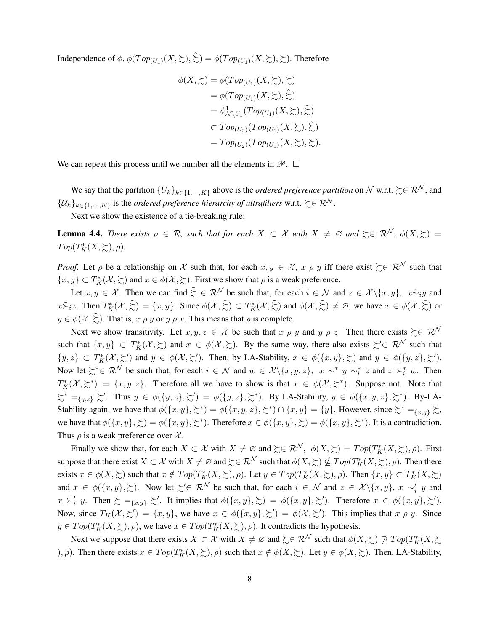Independence of  $\phi$ ,  $\phi(Top_{(U_1)}(X,\succsim),\hat{\succsim}) = \phi(Top_{(U_1)}(X,\succsim),\succsim)$ . Therefore

$$
\phi(X, \gtrsim) = \phi(Top_{(U_1)}(X, \gtrsim), \gtrsim)
$$
  
=  $\phi(Top_{(U_1)}(X, \gtrsim), \gtrsim)$   
=  $\psi^1_{\mathcal{N}\setminus U_1}(Top_{(U_1)}(X, \gtrsim), \gtrsim)$   
 $\subset Top_{(U_2)}(Top_{(U_1)}(X, \gtrsim), \gtrsim)$   
=  $Top_{(U_2)}(Top_{(U_1)}(X, \gtrsim), \gtrsim).$ 

We can repeat this process until we number all the elements in  $\mathscr{P}$ .  $\Box$ 

We say that the partition  ${U_k}_{k \in \{1,\cdots,K\}}$  above is the *ordered preference partition* on N w.r.t.  $\succeq \in \mathbb{R}^N$ , and  $\{\mathcal{U}_k\}_{k\in\{1,\cdots,K\}}$  is the *ordered preference hierarchy of ultrafilters* w.r.t.  $\succsim \in \mathcal{R}^{\mathcal{N}}$ .

Next we show the existence of a tie-breaking rule;

**Lemma 4.4.** *There exists*  $\rho \in \mathcal{R}$ *, such that for each*  $X \subset \mathcal{X}$  *with*  $X \neq \emptyset$  *and*  $\succsim \in \mathcal{R}^{\mathcal{N}}$ *,*  $\phi(X, \succsim)$  =  $Top(T^*_K(X, \succsim), \rho)$ *.* 

*Proof.* Let  $\rho$  be a relationship on X such that, for each  $x, y \in X$ ,  $x \rho y$  iff there exist  $\succeq \mathbb{R}^N$  such that  $\{x, y\} \subset T_K^*(\mathcal{X}, \succsim)$  and  $x \in \phi(\mathcal{X}, \succsim)$ . First we show that  $\rho$  is a weak preference.

Let  $x, y \in \mathcal{X}$ . Then we can find  $\sum_{n=1}^{\infty} a_n \in \mathbb{R}^N$  be such that, for each  $i \in \mathcal{N}$  and  $z \in \mathcal{X} \setminus \{x, y\}$ ,  $x \tilde{\sim}_i y$  and  $x \tilde{\succ}_i z$ . Then  $T_K^*(\mathcal{X}, \tilde{\succ}) = \{x, y\}$ . Since  $\phi(\mathcal{X}, \tilde{\succ}) \subset T_K^*(\mathcal{X}, \tilde{\succ})$  and  $\phi(\mathcal{X}, \tilde{\succ}) \neq \emptyset$ , we have  $x \in \phi(\mathcal{X}, \tilde{\succ})$  or  $y \in \phi(\mathcal{X}, \tilde{\Sigma})$ . That is, *x*  $\rho$  *y* or *y*  $\rho$  *x*. This means that  $\rho$  is complete.

Next we show transitivity. Let  $x, y, z \in \mathcal{X}$  be such that  $x \rho y$  and  $y \rho z$ . Then there exists  $\succeq \in \mathcal{R}^{\mathcal{N}}$ such that  $\{x, y\} \subset T_K^*(\mathcal{X}, \succ)$  and  $x \in \phi(\mathcal{X}, \succ)$ . By the same way, there also exists  $\succsim' \in \mathcal{R}^{\mathcal{N}}$  such that  $\{y, z\} \subset T_K^*(\mathcal{X}, \succeq')$  and  $y \in \phi(\mathcal{X}, \succeq')$ . Then, by LA-Stability,  $x \in \phi(\{x, y\}, \succeq)$  and  $y \in \phi(\{y, z\}, \succeq')$ . Now let  $\succsim^* \in \mathcal{R}^{\mathcal{N}}$  be such that, for each  $i \in \mathcal{N}$  and  $w \in \mathcal{X} \setminus \{x, y, z\}$ ,  $x \sim^* y \sim_i^* z$  and  $z \succ_i^* w$ . Then  $T_K^*(X, \geq^*) = \{x, y, z\}$ . Therefore all we have to show is that  $x \in \phi(X, \geq^*)$ . Suppose not. Note that  $\xi^* =_{\{y,z\}} \xi'$ . Thus  $y \in \phi(\{y,z\},\xi') = \phi(\{y,z\},\xi^*)$ . By LA-Stability,  $y \in \phi(\{x,y,z\},\xi^*)$ . By-LA-Stability again, we have that  $\phi(\{x, y\}, \succsim^*) = \phi(\{x, y, z\}, \succsim^*) \cap \{x, y\} = \{y\}$ . However, since  $\succsim^* =_{\{x, y\}} \succsim$ , we have that  $\phi({x, y}, \geq) = \phi({x, y}, \geq^*)$ . Therefore  $x \in \phi({x, y}, \geq) = \phi({x, y}, \geq^*)$ . It is a contradiction. Thus  $\rho$  is a weak preference over  $\chi$ .

Finally we show that, for each  $X \subset \mathcal{X}$  with  $X \neq \emptyset$  and  $\succeq \in \mathcal{R}^{\mathcal{N}}$ ,  $\phi(X, \succsim) = Top(T^*_{K}(X, \succsim), \rho)$ . First suppose that there exist  $X \subset \mathcal{X}$  with  $X \neq \varnothing$  and  $\succsim \in \mathcal{R}^\mathcal{N}$  such that  $\phi(X, \succsim) \nsubseteq Top(T^*_K(X, \succsim), \rho)$ . Then there exists  $x \in \phi(X, \geq)$  such that  $x \notin Top(T_K^*(X, \geq), \rho)$ . Let  $y \in Top(T_K^*(X, \geq), \rho)$ . Then  $\{x, y\} \subset T_K^*(X, \geq)$ and  $x \in \phi(\{x, y\}, \succsim)$ . Now let  $\succsim' \in \mathcal{R}^{\mathcal{N}}$  be such that, for each  $i \in \mathcal{N}$  and  $z \in \mathcal{X}\setminus\{x, y\}, x \sim'_{i} y$  and  $x \succ_i' y$ . Then  $\succsim = \{x, y\} \succsim'$ . It implies that  $\phi(\{x, y\}, \succsim') = \phi(\{x, y\}, \succsim')$ . Therefore  $x \in \phi(\{x, y\}, \succsim')$ . Now, since  $T_K(\mathcal{X}, \succsim') = \{x, y\}$ , we have  $x \in \phi(\{x, y\}, \succsim') = \phi(\mathcal{X}, \succsim')$ . This implies that  $x \rho y$ . Since  $y \in Top(T_K^*(X, \succsim), \rho)$ , we have  $x \in Top(T_K^*(X, \succsim), \rho)$ . It contradicts the hypothesis.

Next we suppose that there exists  $X \subset \mathcal{X}$  with  $X \neq \emptyset$  and  $\succcurlyeq \in \mathcal{R}^{\mathcal{N}}$  such that  $\phi(X, \succcurlyeq) \nsubseteq \mathcal{I} op(T^*_K(X, \succcurlyeq)$ )*, ρ*). Then there exists  $x \in Top(T_K^*(X, \Sigma), \rho)$  such that  $x \notin \phi(X, \Sigma)$ . Let  $y \in \phi(X, \Sigma)$ . Then, LA-Stability,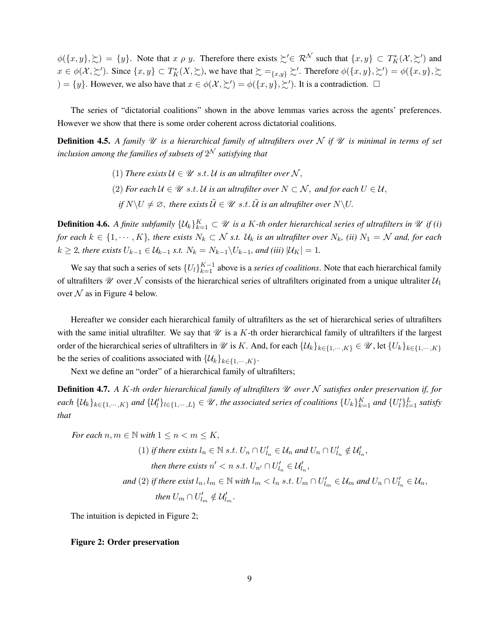$\phi(\{x, y\}, \geq) = \{y\}$ . Note that *x*  $\rho$  *y*. Therefore there exists  $\geq' \in \mathcal{R}^{\mathcal{N}}$  such that  $\{x, y\} \subset T_K^*(\mathcal{X}, \geq')$  and  $x \in \phi(\mathcal{X}, \succsim')$ . Since  $\{x, y\} \subset T_K^*(X, \succsim)$ , we have that  $\succsim =_{\{x, y\}} \succsim'$ . Therefore  $\phi(\{x, y\}, \succsim') = \phi(\{x, y\}, \succsim')$  $) = \{y\}$ . However, we also have that  $x \in \phi(\mathcal{X}, \leq') = \phi(\{x, y\}, \geq')$ . It is a contradiction.  $\Box$ 

The series of "dictatorial coalitions" shown in the above lemmas varies across the agents' preferences. However we show that there is some order coherent across dictatorial coalitions.

**Definition 4.5.** A family  $\mathcal U$  is a hierarchical family of ultrafilters over  $\mathcal N$  if  $\mathcal U$  is minimal in terms of set *inclusion among the families of subsets of* 2 <sup>N</sup> *satisfying that*

- (1) There exists  $\mathcal{U} \in \mathcal{U}$  s.t. U is an ultrafilter over N,
- $(2)$  *For each*  $U$  ∈  $\mathcal U$  *s.t.*  $U$  *is an ultrafilter over*  $N \subset \mathcal N$ *, and for each*  $U \in \mathcal U$ *,* 
	- *if*  $N\setminus U \neq \emptyset$ , there exists  $\tilde{U} \in \mathcal{U}$  *s.t.*  $\tilde{U}$  *is an ultrafilter over*  $N\setminus U$ .

**Definition 4.6.** A finite subfamily  $\{U_k\}_{k=1}^K \subset \mathcal{U}$  is a K-th order hierarchical series of ultrafilters in  $\mathcal{U}$  if (i) *for each*  $k \in \{1, \dots, K\}$ , there exists  $N_k \subset \mathcal{N}$  s.t.  $\mathcal{U}_k$  is an ultrafilter over  $N_k$ , (ii)  $N_1 = \mathcal{N}$  and, for each *k* ≥ 2*, there exists*  $U_{k-1}$  ∈  $\mathcal{U}_{k-1}$  *s.t.*  $N_k = N_{k-1} \setminus U_{k-1}$ *, and (iii)*  $|\mathcal{U}_K| = 1$ *.* 

We say that such a series of sets  ${U_l}_{k=1}^{K-1}$  above is a *series of coalitions*. Note that each hierarchical family of ultrafilters  $\mathcal U$  over  $\mathcal N$  consists of the hierarchical series of ultrafilters originated from a unique ultraliter  $\mathcal U_1$ over  $N$  as in Figure 4 below.

Hereafter we consider each hierarchical family of ultrafilters as the set of hierarchical series of ultrafilters with the same initial ultrafilter. We say that  $\mathcal U$  is a *K*-th order hierarchical family of ultrafilters if the largest order of the hierarchical series of ultrafilters in  $\mathcal{U}$  is *K*. And, for each  $\{\mathcal{U}_k\}_{k\in\{1,\cdots,K\}} \in \mathcal{U}$ , let  $\{U_k\}_{k\in\{1,\cdots,K\}}$ be the series of coalitions associated with  $\{U_k\}_{k \in \{1, \cdots, K\}}$ .

Next we define an "order" of a hierarchical family of ultrafilters;

Definition 4.7. *A K-th order hierarchical family of ultrafilters* U *over* N *satisfies order preservation if, for* each  $\{U_k\}_{k\in\{1,\cdots,K\}}$  and  $\{U'_l\}_{l\in\{1,\cdots,L\}}\in\mathscr{U}$ , the associated series of coalitions  $\{U_k\}_{k=1}^K$  and  $\{U'_l\}_{l=1}^L$  satisfy *that*

For each 
$$
n, m \in \mathbb{N}
$$
 with  $1 \le n < m \le K$ ,  
\n(1) if there exists  $l_n \in \mathbb{N}$  s.t.  $U_n \cap U'_{l_n} \in U_n$  and  $U_n \cap U'_{l_n} \notin U'_{l_n}$ ,  
\nthen there exists  $n' < n$  s.t.  $U_{n'} \cap U'_{l_n} \in U'_{l_n}$ ,  
\nand (2) if there exist  $l_n, l_m \in \mathbb{N}$  with  $l_m < l_n$  s.t.  $U_m \cap U'_{l_m} \in U_m$  and  $U_n \cap U'_{l_n} \in U_n$ ,  
\nthen  $U_m \cap U'_{l_m} \notin U'_{l_m}$ .

The intuition is depicted in Figure 2;

#### Figure 2: Order preservation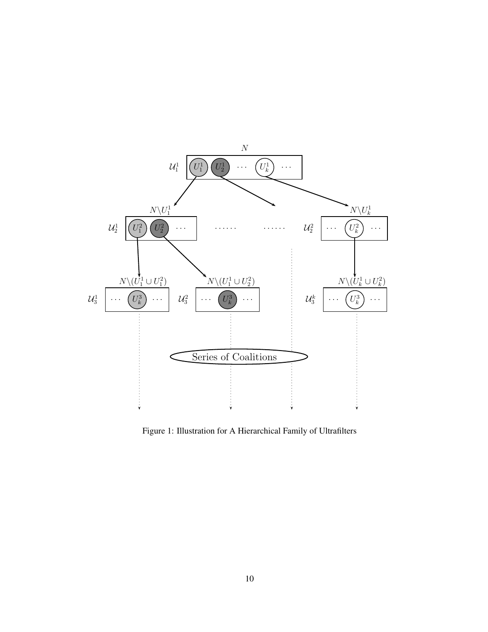

Figure 1: Illustration for A Hierarchical Family of Ultrafilters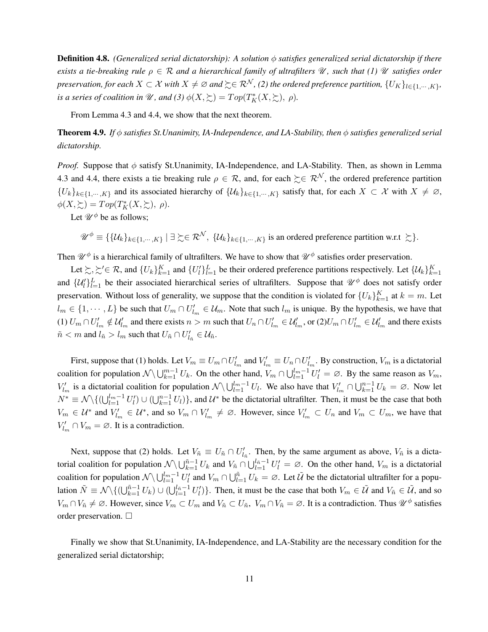Definition 4.8. *(Generalized serial dictatorship): A solution φ satisfies generalized serial dictatorship if there exists a tie-breaking rule*  $\rho \in \mathcal{R}$  *and a hierarchical family of ultrafilters*  $\mathcal{U}$ *, such that (1)*  $\mathcal{U}$  *satisfies order*  $p$ reservation, for each  $X\subset \mathcal{X}$  with  $X\neq\varnothing$  and  $\succsim\in\mathcal{R}^{\mathcal{N}}$ , (2) the ordered preference partition,  $\{U_K\}_{l\in\{1,\cdots,K\}},$ *is a series of coalition in*  $\mathscr U$ *, and (3)*  $\phi(X, \succsim) = Top(T^*_K(X, \succsim), \rho)$ *.* 

From Lemma 4.3 and 4.4, we show that the next theorem.

Theorem 4.9. *If φ satisfies St.Unanimity, IA-Independence, and LA-Stability, then φ satisfies generalized serial dictatorship.*

*Proof.* Suppose that φ satisfy St.Unanimity, IA-Independence, and LA-Stability. Then, as shown in Lemma 4.3 and 4.4, there exists a tie breaking rule  $\rho \in \mathcal{R}$ , and, for each  $\succeq \in \mathcal{R}^{\mathcal{N}}$ , the ordered preference partition  ${U_k}_{k \in \{1,\dots,K\}}$  and its associated hierarchy of  ${U_k}_{k \in \{1,\dots,K\}}$  satisfy that, for each  $X \subset \mathcal{X}$  with  $X \neq \emptyset$ ,  $\phi(X,\succsim) = Top(T^*_K(X,\succsim), \rho).$ 

Let  $\mathcal{U}^{\phi}$  be as follows:

$$
\mathscr{U}^{\phi} \equiv \{ \{ \mathcal{U}_k \}_{k \in \{1, \cdots, K\}} \mid \exists \succsim \in \mathcal{R}^{\mathcal{N}}, \ \{ \mathcal{U}_k \}_{k \in \{1, \cdots, K\}} \text{ is an ordered preference partition w.r.t } \succsim \}.
$$

Then  $\mathcal{U}^{\phi}$  is a hierarchical family of ultrafilters. We have to show that  $\mathcal{U}^{\phi}$  satisfies order preservation.

Let  $\succsim, \succsim' \in \mathcal{R}$ , and  $\{U_k\}_{k=1}^K$  and  $\{U_l'\}_{l=1}^L$  be their ordered preference partitions respectively. Let  $\{U_k\}_{k=1}^K$ and  $\{U_l'\}_{l=1}^L$  be their associated hierarchical series of ultrafilters. Suppose that  $\mathscr{U}^{\phi}$  does not satisfy order preservation. Without loss of generality, we suppose that the condition is violated for  ${U_k}_{k=1}^K$  at  $k = m$ . Let  $l_m \in \{1, \dots, L\}$  be such that  $U_m \cap U'_{l_m} \in \mathcal{U}_m$ . Note that such  $l_m$  is unique. By the hypothesis, we have that (1)  $U_m \cap U'_{l_m} \notin \mathcal{U}'_{l_m}$  and there exists  $n > m$  such that  $U_n \cap U'_{l_m} \in \mathcal{U}'_{l_m}$ , or  $(2)U_m \cap U'_{l_m} \in \mathcal{U}'_{l_m}$  and there exists  $\tilde{n} < m$  and  $l_{\tilde{n}} > l_m$  such that  $U_{\tilde{n}} \cap U'_{l_{\tilde{n}}} \in \mathcal{U}_{\tilde{n}}$ .

First, suppose that (1) holds. Let  $V_m \equiv U_m \cap U'_{l_m}$  and  $V'_{l_m} \equiv U_n \cap U'_{l_m}$ . By construction,  $V_m$  is a dictatorial coalition for population  $N \setminus \bigcup_{k=1}^{m-1} U_k$ . On the other hand,  $V_m \cap \bigcup_{l=1}^{l_m-1} U_l' = \emptyset$ . By the same reason as  $V_m$ , *V*<sub>l</sub><sup>*m*</sup> is a dictatorial coalition for population  $N \setminus \bigcup_{l=1}^{l_m-1} U_l$ . We also have that  $V'_{l_m} \cap \bigcup_{k=1}^{n-1} U_k = \emptyset$ . Now let  $N^* \equiv \mathcal{N} \setminus \{ (\bigcup_{l=1}^{l_m-1} U_l') \cup (\bigcup_{k=1}^{n-1} U_l) \}$ , and  $\mathcal{U}^*$  be the dictatorial ultrafilter. Then, it must be the case that both  $V_m \in \mathcal{U}^*$  and  $V'_{l_m} \in \mathcal{U}^*$ , and so  $V_m \cap V'_{l_m} \neq \emptyset$ . However, since  $V'_{l_m} \subset U_n$  and  $V_m \subset U_m$ , we have that  $V'_{l_m} \cap V_m = \emptyset$ . It is a contradiction.

Next, suppose that (2) holds. Let  $V_{\tilde{n}} \equiv U_{\tilde{n}} \cap U'_{l_{\tilde{n}}}$ . Then, by the same argument as above,  $V_{\tilde{n}}$  is a dictatorial coalition for population  $N \setminus \bigcup_{k=1}^{n-1} U_k$  and  $V_{\tilde{n}} \cap \bigcup_{l=1}^{l_{\tilde{n}}-1} U_l' = \emptyset$ . On the other hand,  $V_m$  is a dictatorial coalition for population  $N \setminus \bigcup_{l=1}^{l_m-1} U_l'$  and  $V_m \cap \bigcup_{l=1}^{\tilde{n}} U_k = \emptyset$ . Let  $\tilde{U}$  be the dictatorial ultrafilter for a population  $\tilde{N} \equiv \mathcal{N} \setminus \{ (\bigcup_{k=1}^{\tilde{n}-1} U_k) \cup (\bigcup_{l=1}^{l_{\tilde{n}}-1} U_l') \}$ . Then, it must be the case that both  $V_m \in \tilde{U}$  and  $V_{\tilde{n}} \in \tilde{U}$ , and so  $V_m \cap V_{\tilde{n}} \neq \emptyset$ . However, since  $V_m \subset U_m$  and  $V_{\tilde{n}} \subset U_{\tilde{n}}$ ,  $V_m \cap V_{\tilde{n}} = \emptyset$ . It is a contradiction. Thus  $\mathscr{U}^{\phi}$  satisfies order preservation.  $\square$ 

Finally we show that St.Unanimity, IA-Independence, and LA-Stability are the necessary condition for the generalized serial dictatorship;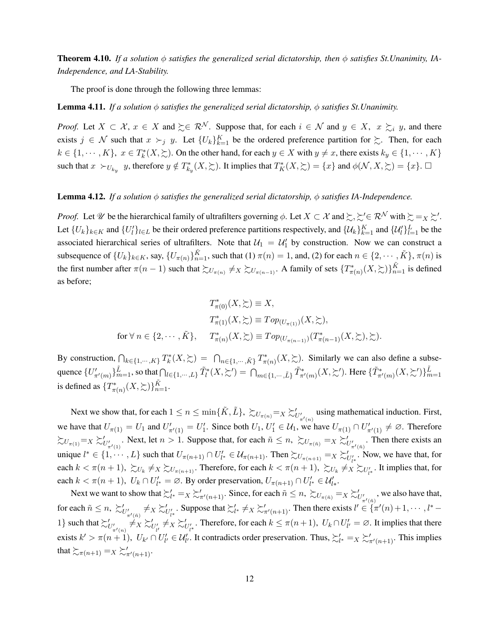Theorem 4.10. *If a solution φ satisfies the generalized serial dictatorship, then φ satisfies St.Unanimity, IA-Independence, and LA-Stability.*

The proof is done through the following three lemmas:

#### Lemma 4.11. *If a solution φ satisfies the generalized serial dictatorship, φ satisfies St.Unanimity.*

*Proof.* Let  $X \subset \mathcal{X}$ ,  $x \in X$  and  $\succeq \in \mathcal{R}^{\mathcal{N}}$ . Suppose that, for each  $i \in \mathcal{N}$  and  $y \in X$ ,  $x \succsim_{i} y$ , and there exists  $j \in \mathcal{N}$  such that  $x \succ_j y$ . Let  $\{U_k\}_{k=1}^K$  be the ordered preference partition for  $\succsim$ . Then, for each  $k \in \{1, \dots, K\}$ ,  $x \in T_k^*(X, \succcurlyeq)$ . On the other hand, for each  $y \in X$  with  $y \neq x$ , there exists  $k_y \in \{1, \dots, K\}$ such that  $x \succ_{U_{k_y}} y$ , therefore  $y \notin T^*_{k_y}(X, \Sigma)$ . It implies that  $T^*_{K}(X, \Sigma) = \{x\}$  and  $\phi(\mathcal{N}, X, \Sigma) = \{x\}$ .

#### Lemma 4.12. *If a solution φ satisfies the generalized serial dictatorship, φ satisfies IA-Independence.*

*Proof.* Let  $\mathcal{U}$  be the hierarchical family of ultrafilters governing  $\phi$ . Let  $X \subset \mathcal{X}$  and  $\succsim, \succsim' \in \mathcal{R}^{\mathcal{N}}$  with  $\succsim = X \succsim'$ . Let  $\{U_k\}_{k\in K}$  and  $\{U_l'\}_{l\in L}$  be their ordered preference partitions respectively, and  $\{U_k\}_{k=1}^K$  and  $\{U_l'\}_{l=1}^L$  be the associated hierarchical series of ultrafilters. Note that  $U_1 = U'_1$  by construction. Now we can construct a subsequence of  $\{U_k\}_{k\in K}$ , say,  $\{U_{\pi(n)}\}_{n=1}^{\tilde{K}}$ , such that (1)  $\pi(n)=1$ , and, (2) for each  $n\in\{2,\cdots,\tilde{K}\}, \pi(n)$  is the first number after  $\pi(n-1)$  such that  $\succsim U_{\pi(n)} \neq X \succsim U_{\pi(n-1)}$ . A family of sets  $\{T^*_{\pi(n)}(X,\succsim)\}_{n=1}^{\tilde{K}}$  is defined as before;

$$
T^*_{\pi(0)}(X,\succsim) \equiv X,
$$
  
\n
$$
T^*_{\pi(1)}(X,\succsim) \equiv Top_{(U_{\pi(1)})}(X,\succsim),
$$
  
\nfor  $\forall n \in \{2,\cdots,\tilde{K}\},$  
$$
T^*_{\pi(n)}(X,\succsim) \equiv Top_{(U_{\pi(n-1)})}(T^*_{\pi(n-1)}(X,\succsim),\succsim).
$$

By construction,  $\bigcap_{k \in \{1, \cdots, K\}} T_k^*(X, \succsim) = \bigcap_{n \in \{1, \cdots, \tilde{K}\}} T_{\pi(n)}^*(X, \succsim)$ . Similarly we can also define a subsequence  $\{U'_{\pi'(m)}\}_{m=1}^{\tilde{L}}$ , so that  $\bigcap_{l\in\{1,\cdots,L\}} \tilde{T}_l^*(X,\succsim') = \bigcap_{m\in\{1,\cdots,L\}} \tilde{T}_{\pi'(m)}^*(X,\succsim')$ . Here  $\{\tilde{T}_{\pi'(m)}^*(X,\succsim')\}_{m=1}^{\tilde{L}}$ is defined as  $\{T^*_{\pi(n)}(X,\succsim)\}_{n=1}^{\tilde{K}}$ .

Next we show that, for each  $1 \le n \le \min\{\tilde{K}, \tilde{L}\}, \ \sum_{U_{\pi}(n)} =_X \sum_{U'_{\pi'(n)}}'$  using mathematical induction. First, we have that  $U_{\pi(1)} = U_1$  and  $U'_{\pi'(1)} = U'_1$ . Since both  $U_1, U'_1 \in U_1$ , we have  $U_{\pi(1)} \cap U'_{\pi'(1)} \neq \emptyset$ . Therefore  $\sum_{U_{\pi}(1)} = X \sum_{U'_{\pi'}(1)}'$ . Next, let  $n > 1$ . Suppose that, for each  $\tilde{n} \leq n$ ,  $\sum_{U_{\pi}(\tilde{n})} = X \sum_{U'_{\pi'}(\tilde{n})}$ . Then there exists an unique  $l^* \in \{1, \dots, L\}$  such that  $U_{\pi(n+1)} \cap U'_{l^*} \in \mathcal{U}_{\pi(n+1)}$ . Then  $\succsim_{U_{\pi(n+1)}} =_X \succsim'_{U'_{l^*}}$ . Now, we have that, for each  $k < \pi(n+1)$ ,  $\sum_{U_k} \neq X \sum_{\pi(n+1)}$ . Therefore, for each  $k < \pi(n+1)$ ,  $\sum_{U_k} \neq X \sum_{U'_{l^*}}$ . It implies that, for each  $k < \pi(n+1)$ ,  $U_k \cap U'_{l^*} = \emptyset$ . By order preservation,  $U_{\pi(n+1)} \cap U'_{l^*} \in \mathcal{U}'_{l^*}$ .

Next we want to show that  $\sum_{l^*}^{\prime} =_X \sum_{\pi'(n+1)}^{\prime}$ . Since, for each  $\tilde{n} \leq n$ ,  $\sum_{U_{\pi(\tilde{n})}}^{\prime} =_X \sum_{U'_{\pi'(\tilde{n})}}^{\prime}$ , we also have that, for each  $\tilde{n} \leq n$ ,  $\sum'_{U'_{\pi'(n)}} \neq X \sum'_{U'_{l^*}}$ . Suppose that  $\sum'_{l^*} \neq X \sum'_{\pi'(n+1)}$ . Then there exists  $l' \in \{ \pi'(n) + 1, \dots, l^* - 1 \}$ 1} such that  $\sum'_{U'_{\pi'(n)}} \neq X \sum'_{U'_{\mu}} \neq X \sum'_{U'_{\mu}}$ . Therefore, for each  $k \leq \pi(n+1)$ ,  $U_k \cap U'_{\mu} = \emptyset$ . It implies that there exists  $k' > \pi(n+1)$ ,  $U_{k'} \cap U'_{l'} \in \mathcal{U}'_{l'}$ . It contradicts order preservation. Thus,  $\sum_{l^*} =_X \sum_{\pi'(n+1)}'$ . This implies that  $\sum_{\pi(n+1)} = X \sum_{\pi'(n+1)}$ .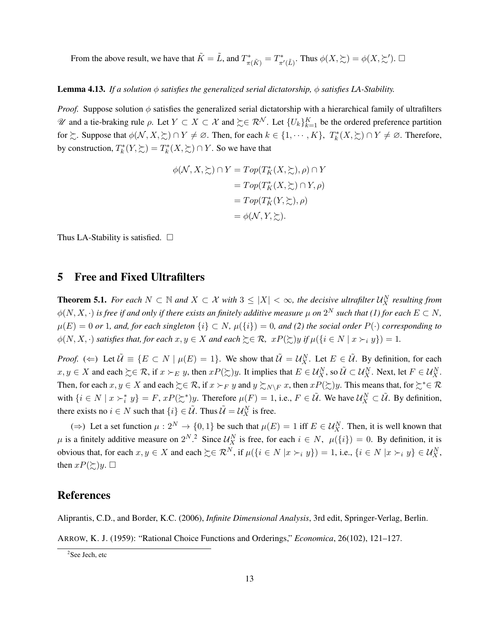From the above result, we have that  $\tilde{K} = \tilde{L}$ , and  $T^*_{\pi(\tilde{K})} = T^*_{\pi'(\tilde{L})}$ . Thus  $\phi(X, \succsim) = \phi(X, \succsim')$ .  $\Box$ 

#### Lemma 4.13. *If a solution φ satisfies the generalized serial dictatorship, φ satisfies LA-Stability.*

*Proof.* Suppose solution  $\phi$  satisfies the generalized serial dictatorship with a hierarchical family of ultrafilters  $W$  and a tie-braking rule *ρ*. Let *Y* ⊂ *X* ⊂  $X$  and  $\succeq \in \mathbb{R}^N$ . Let  $\{U_k\}_{k=1}^K$  be the ordered preference partition for  $\succsim$ . Suppose that  $\phi(\mathcal{N}, X, \succsim) \cap Y \neq \emptyset$ . Then, for each  $k \in \{1, \cdots, K\}$ ,  $T_k^*(X, \succsim) \cap Y \neq \emptyset$ . Therefore, by construction,  $T_k^*(Y, \succcurlyeq) = T_k^*(X, \succcurlyeq) \cap Y$ . So we have that

$$
\phi(\mathcal{N}, X, \geq) \cap Y = Top(T_K^*(X, \geq), \rho) \cap Y
$$
  
=  $Top(T_K^*(X, \geq) \cap Y, \rho)$   
=  $Top(T_K^*(Y, \geq), \rho)$   
=  $\phi(\mathcal{N}, Y, \geq).$ 

Thus LA-Stability is satisfied.  $\square$ 

## 5 Free and Fixed Ultrafilters

**Theorem 5.1.** For each  $N \subset \mathbb{N}$  and  $X \subset \mathcal{X}$  with  $3 \leq |X| < \infty$ , the decisive ultrafilter  $\mathcal{U}_X^N$  resulting from  $\phi(N,X,\cdot)$  is free if and only if there exists an finitely additive measure  $\mu$  on  $2^N$  such that (1) for each  $E\subset N,$  $\mu(E) = 0$  *or* 1*, and, for each singleton*  $\{i\} \subset N$ *,*  $\mu(\{i\}) = 0$ *, and* (2) the social order  $P(\cdot)$  corresponding to  $\phi(N, X, \cdot)$  *satisfies that, for each*  $x, y \in X$  *and each*  $\succeq \in \mathcal{R}$ *,*  $xP(\succeq y)$  *if*  $\mu(\lbrace i \in N | x \succ_i y \rbrace) = 1$ .

*Proof.* ( $\Leftarrow$ ) Let  $\tilde{U} \equiv \{ E \subset N \mid \mu(E) = 1 \}$ . We show that  $\tilde{U} = U_X^N$ . Let  $E \in \tilde{U}$ . By definition, for each  $x, y \in X$  and each  $\succcurlyeq \in \mathcal{R}$ , if  $x \succ_E y$ , then  $xP(\succcurlyeq y)$ . It implies that  $E \in \mathcal{U}_X^N$ , so  $\tilde{\mathcal{U}} \subset \mathcal{U}_X^N$ . Next, let  $F \in \mathcal{U}_X^N$ . Then, for each  $x, y \in X$  and each  $\succeq \in \mathcal{R}$ , if  $x \succ_F y$  and  $y \succsim_{N\setminus F} x$ , then  $xP(\succsim y)$ . This means that, for  $\succeq^* \in \mathcal{R}$ with  $\{i \in N \mid x \succ_i^* y\} = F$ ,  $xP(\succ_i^*)y$ . Therefore  $\mu(F) = 1$ , i.e.,  $F \in \tilde{\mathcal{U}}$ . We have  $\mathcal{U}_X^N \subset \tilde{\mathcal{U}}$ . By definition, there exists no  $i \in N$  such that  $\{i\} \in \tilde{U}$ . Thus  $\tilde{U} = U_X^N$  is free.

(⇒) Let a set function  $\mu: 2^N \to \{0, 1\}$  be such that  $\mu(E) = 1$  iff  $E \in \mathcal{U}_X^N$ . Then, it is well known that  $\mu$  is a finitely additive measure on  $2^N$ .<sup>2</sup> Since  $\mathcal{U}_X^N$  is free, for each  $i \in N$ ,  $\mu({i}) = 0$ . By definition, it is obvious that, for each  $x, y \in X$  and each  $\succcurlyeq \in \mathbb{R}^N$ , if  $\mu(\lbrace i \in N | x \succ_i y \rbrace) = 1$ , i.e.,  $\lbrace i \in N | x \succ_i y \rbrace \in \mathcal{U}_X^N$ , then  $xP(\succsim y)$ .  $\Box$ 

## References

Aliprantis, C.D., and Border, K.C. (2006), *Infinite Dimensional Analysis*, 3rd edit, Springer-Verlag, Berlin.

ARROW, K. J. (1959): "Rational Choice Functions and Orderings," *Economica*, 26(102), 121–127.

<sup>&</sup>lt;sup>2</sup>See Jech, etc